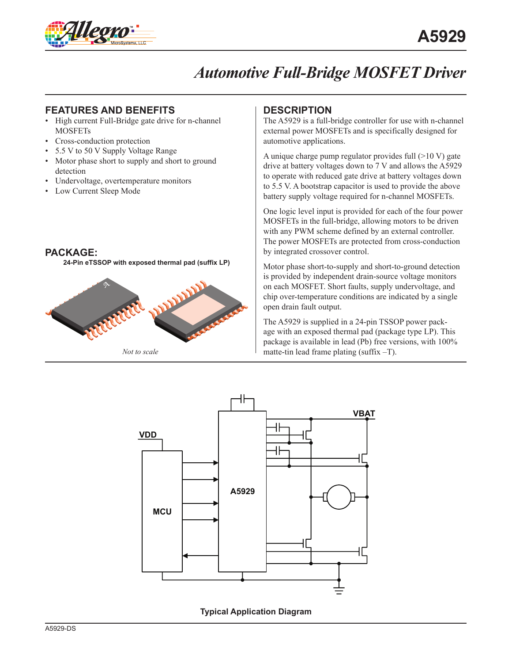

### **FEATURES AND BENEFITS DESCRIPTION**

- High current Full-Bridge gate drive for n-channel **MOSFETs**
- Cross-conduction protection
- 5.5 V to 50 V Supply Voltage Range
- Motor phase short to supply and short to ground detection
- Undervoltage, overtemperature monitors
- Low Current Sleep Mode

#### **PACKAGE:**

**24-Pin eTSSOP with exposed thermal pad (suffix LP)** 



*Not to scale*

The A5929 is a full-bridge controller for use with n-channel external power MOSFETs and is specifically designed for automotive applications.

A unique charge pump regulator provides full  $(>10 V)$  gate drive at battery voltages down to 7 V and allows the A5929 to operate with reduced gate drive at battery voltages down to 5.5 V. A bootstrap capacitor is used to provide the above battery supply voltage required for n-channel MOSFETs.

One logic level input is provided for each of the four power MOSFETs in the full-bridge, allowing motors to be driven with any PWM scheme defined by an external controller. The power MOSFETs are protected from cross-conduction by integrated crossover control.

Motor phase short-to-supply and short-to-ground detection is provided by independent drain-source voltage monitors on each MOSFET. Short faults, supply undervoltage, and chip over-temperature conditions are indicated by a single open drain fault output.

The A5929 is supplied in a 24-pin TSSOP power package with an exposed thermal pad (package type LP). This package is available in lead (Pb) free versions, with 100% matte-tin lead frame plating (suffix –T).



**Typical Application Diagram**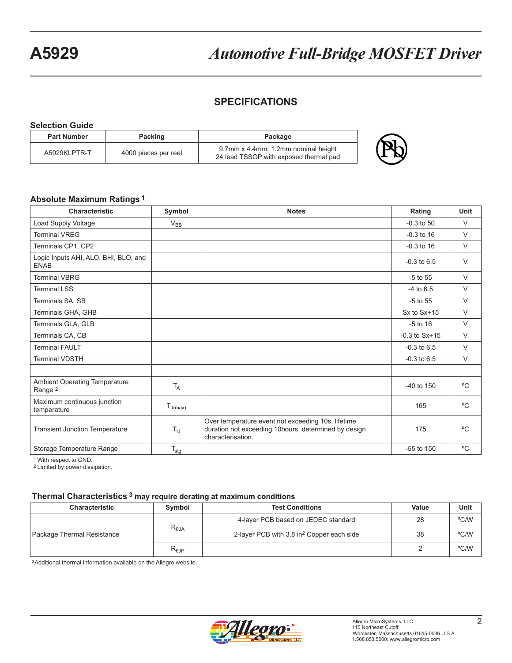## **SPECIFICATIONS**

| <b>Selection Guide</b> |                      |                                                                               |    |
|------------------------|----------------------|-------------------------------------------------------------------------------|----|
| <b>Part Number</b>     | <b>Packing</b>       | Package                                                                       |    |
| A5929KLPTR-T           | 4000 pieces per reel | 9.7mm x 4.4mm, 1.2mm nominal height<br>24 lead TSSOP with exposed thermal pad | Ph |

#### **Absolute Maximum Ratings 1**

| <b>Characteristic</b>                               | Symbol           | <b>Notes</b>                                                                                                                     | Rating            | Unit         |
|-----------------------------------------------------|------------------|----------------------------------------------------------------------------------------------------------------------------------|-------------------|--------------|
| Load Supply Voltage                                 | $V_{BB}$         |                                                                                                                                  | $-0.3$ to 50      | $\vee$       |
| <b>Terminal VREG</b>                                |                  |                                                                                                                                  | $-0.3$ to 16      | $\vee$       |
| Terminals CP1, CP2                                  |                  |                                                                                                                                  | $-0.3$ to 16      | $\vee$       |
| Logic Inputs AHI, ALO, BHI, BLO, and<br><b>ENAB</b> |                  |                                                                                                                                  | $-0.3$ to $6.5$   | $\vee$       |
| <b>Terminal VBRG</b>                                |                  |                                                                                                                                  | $-5$ to $55$      | $\vee$       |
| <b>Terminal LSS</b>                                 |                  |                                                                                                                                  | $-4$ to 6.5       | $\vee$       |
| Terminals SA, SB                                    |                  |                                                                                                                                  | $-5$ to $55$      | $\vee$       |
| Terminals GHA, GHB                                  |                  |                                                                                                                                  | $Sx$ to $Sx+15$   | $\vee$       |
| Terminals GLA, GLB                                  |                  |                                                                                                                                  | $-5$ to 16        | $\vee$       |
| Terminals CA, CB                                    |                  |                                                                                                                                  | $-0.3$ to $Sx+15$ | $\vee$       |
| <b>Terminal FAULT</b>                               |                  |                                                                                                                                  | $-0.3$ to $6.5$   | $\vee$       |
| <b>Terminal VDSTH</b>                               |                  |                                                                                                                                  | $-0.3$ to $6.5$   | $\vee$       |
|                                                     |                  |                                                                                                                                  |                   |              |
| Ambient Operating Temperature<br>Range <sup>2</sup> | $T_A$            |                                                                                                                                  | $-40$ to 150      | °C           |
| Maximum continuous junction<br>temperature          | $T_{J(max)}$     |                                                                                                                                  | 165               | $^{\circ}C$  |
| <b>Transient Junction Temperature</b>               | $T_{tJ}$         | Over temperature event not exceeding 10s, lifetime<br>duration not exceeding 10 hours, determined by design<br>characterisation. | 175               | $^{\circ}$ C |
| Storage Temperature Range                           | $T_{\text{stg}}$ |                                                                                                                                  | $-55$ to $150$    | °C           |

1 With respect to GND.

2 Limited by power dissipation.

#### **Thermal Characteristics 3 may require derating at maximum conditions**

| <b>Characteristic</b>                         | Symbol                              | <b>Test Conditions</b>                                | Value | Unit |
|-----------------------------------------------|-------------------------------------|-------------------------------------------------------|-------|------|
| $R_{\theta JA}$<br>Package Thermal Resistance | 4-layer PCB based on JEDEC standard | 28                                                    | °C/W  |      |
|                                               |                                     | 2-layer PCB with 3.8 in <sup>2</sup> Copper each side | 38    | °C/W |
|                                               | $R_{0,IP}$                          |                                                       |       | °C/W |

3Additional thermal information available on the Allegro website.

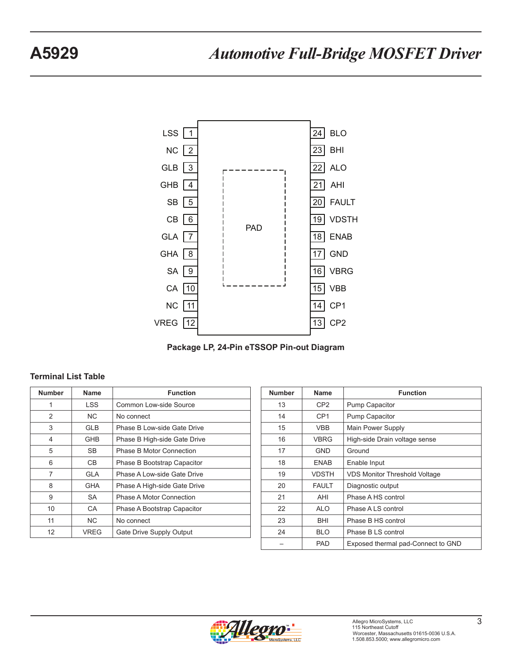

**Package LP, 24-Pin eTSSOP Pin-out Diagram**

#### **Terminal List Table**

| <b>Number</b> | Name        | <b>Function</b>              |
|---------------|-------------|------------------------------|
| 1             | <b>LSS</b>  | Common Low-side Source       |
| 2             | <b>NC</b>   | No connect                   |
| 3             | <b>GLB</b>  | Phase B Low-side Gate Drive  |
| 4             | GHB         | Phase B High-side Gate Drive |
| 5             | SB          | Phase B Motor Connection     |
| 6             | CВ          | Phase B Bootstrap Capacitor  |
| 7             | GLA         | Phase A Low-side Gate Drive  |
| 8             | <b>GHA</b>  | Phase A High-side Gate Drive |
| 9             | <b>SA</b>   | Phase A Motor Connection     |
| 10            | CA          | Phase A Bootstrap Capacitor  |
| 11            | NC.         | No connect                   |
| 12            | <b>VREG</b> | Gate Drive Supply Output     |

| <b>Number</b> | Name            | <b>Function</b>                      |
|---------------|-----------------|--------------------------------------|
| 13            | CP2             | Pump Capacitor                       |
| 14            | CP <sub>1</sub> | Pump Capacitor                       |
| 15            | <b>VBB</b>      | Main Power Supply                    |
| 16            | VBRG            | High-side Drain voltage sense        |
| 17            | <b>GND</b>      | Ground                               |
| 18            | <b>ENAB</b>     | Enable Input                         |
| 19            | <b>VDSTH</b>    | <b>VDS Monitor Threshold Voltage</b> |
| 20            | <b>FAULT</b>    | Diagnostic output                    |
| 21            | AHI             | Phase A HS control                   |
| 22            | <b>ALO</b>      | Phase A LS control                   |
| 23            | BHI             | Phase B HS control                   |
| 24            | <b>BLO</b>      | Phase B LS control                   |
|               | PAD             | Exposed thermal pad-Connect to GND   |

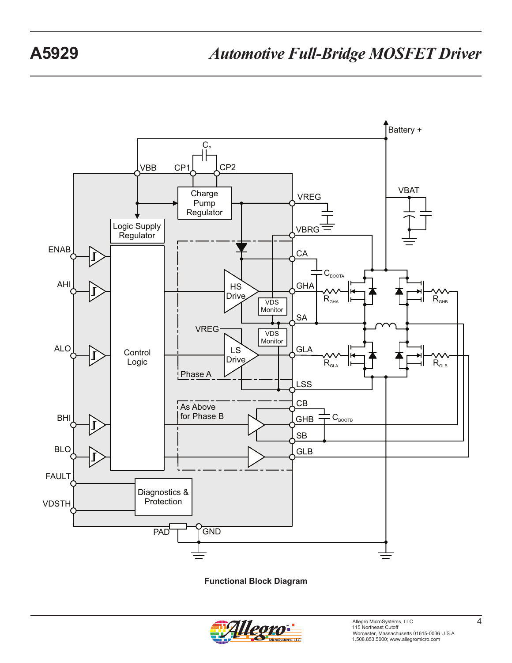

**Functional Block Diagram**

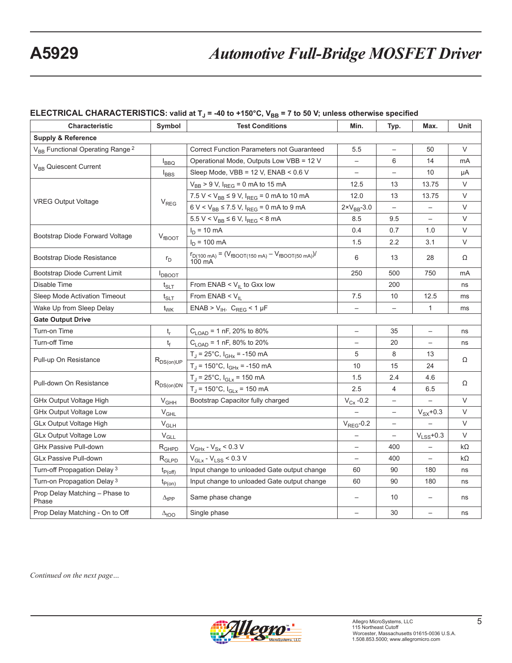# ELECTRICAL CHARACTERISTICS: valid at T<sub>J</sub> = -40 to +150°C, V<sub>BB</sub> = 7 to 50 V; unless otherwise specified

| Characteristic<br>Symbol                                |                              | <b>Test Conditions</b>                                                                                | Min.                     | Typ.                     | Max.                     | Unit      |  |
|---------------------------------------------------------|------------------------------|-------------------------------------------------------------------------------------------------------|--------------------------|--------------------------|--------------------------|-----------|--|
| <b>Supply &amp; Reference</b>                           |                              |                                                                                                       |                          |                          |                          |           |  |
| V <sub>BB</sub> Functional Operating Range <sup>2</sup> |                              | <b>Correct Function Parameters not Guaranteed</b>                                                     | 5.5                      | $\overline{\phantom{0}}$ | 50                       | $\vee$    |  |
|                                                         | $I_{\text{BBO}}$             | Operational Mode, Outputs Low VBB = 12 V                                                              | $\overline{\phantom{0}}$ | 6                        | 14                       | mA        |  |
| V <sub>BB</sub> Quiescent Current                       | $I_{BBS}$                    | Sleep Mode, $VBB = 12 V$ , $ENAB < 0.6 V$                                                             | $\overline{\phantom{0}}$ | $\overline{\phantom{0}}$ | 10                       | μA        |  |
|                                                         |                              | $V_{BB}$ > 9 V, $I_{REG}$ = 0 mA to 15 mA                                                             | 12.5                     | 13                       | 13.75                    | $\vee$    |  |
|                                                         |                              | 7.5 V < $V_{BB} \le 9$ V, $I_{REG} = 0$ mA to 10 mA                                                   | 12.0                     | 13                       | 13.75                    | V         |  |
| <b>VREG Output Voltage</b>                              | $V_{REG}$                    | $6 V < V_{BB} \le 7.5 V$ , $I_{REG} = 0$ mA to 9 mA                                                   | $2 \times V_{BB} - 3.0$  | $\overline{\phantom{a}}$ | $\qquad \qquad -$        | V         |  |
|                                                         |                              | $5.5 V < V_{BB} \le 6 V$ , $I_{REG} < 8 mA$                                                           | 8.5                      | 9.5                      | $\overline{\phantom{0}}$ | $\vee$    |  |
|                                                         |                              | $I_D = 10 \text{ mA}$                                                                                 | 0.4                      | 0.7                      | 1.0                      | $\vee$    |  |
| Bootstrap Diode Forward Voltage                         | $V_{fBOOT}$                  | $I_D$ = 100 mA                                                                                        | 1.5                      | 2.2                      | 3.1                      | $\vee$    |  |
| Bootstrap Diode Resistance                              | $r_{\rm D}$                  | $r_{D(100 \text{ mA})} = (V_{fBOOT(150 \text{ mA})} - V_{fBOOT(50 \text{ mA})})/$<br>$100 \text{ mA}$ | 6                        | 13                       | 28                       | Ω         |  |
| Bootstrap Diode Current Limit                           | <b>I</b> DBOOT               |                                                                                                       | 250                      | 500                      | 750                      | mA        |  |
| Disable Time                                            | $t_{SLT}$                    | From ENAB < $V_{IL}$ to Gxx low                                                                       |                          | 200                      |                          | ns        |  |
| Sleep Mode Activation Timeout                           | $t_{\scriptstyle\text{SLT}}$ | From ENAB $<$ V <sub>IL</sub>                                                                         | 7.5                      | 10                       | 12.5                     | ms        |  |
| Wake Up from Sleep Delay                                | $t_{\text{WK}}$              | $ENAB > V_{IH}$ . $C_{REG}$ < 1 µF                                                                    | $\qquad \qquad -$        | $\qquad \qquad -$        | $\mathbf{1}$             | ms        |  |
| <b>Gate Output Drive</b>                                |                              |                                                                                                       |                          |                          |                          |           |  |
| Turn-on Time                                            | $t_r$                        | $C_{\text{LOAD}}$ = 1 nF, 20% to 80%                                                                  | $\qquad \qquad -$        | 35                       | $\qquad \qquad -$        | ns        |  |
| Turn-off Time                                           | $t_{\rm f}$                  | $C_{\text{LOAD}}$ = 1 nF, 80% to 20%                                                                  | $\qquad \qquad -$        | 20                       | $\overline{\phantom{0}}$ | ns        |  |
|                                                         | $R_{DS(on)UP}$               | $T_J = 25^{\circ}C$ , $I_{GHx} = -150$ mA                                                             | 5                        | 8                        | 13                       | Ω         |  |
| Pull-up On Resistance                                   |                              | $T_J$ = 150°C, $I_{GHx}$ = -150 mA                                                                    | 10                       | 15                       | 24                       |           |  |
| Pull-down On Resistance                                 |                              | $T_J = 25^{\circ}C$ , $I_{GLx} = 150$ mA                                                              | 1.5                      | 2.4                      | 4.6                      | Ω         |  |
|                                                         | $R_{DS(on)DN}$               | $T_{J}$ = 150°C, $I_{GLX}$ = 150 mA                                                                   | 2.5                      | 4                        | 6.5                      |           |  |
| GHx Output Voltage High                                 | $V_{GHH}$                    | Bootstrap Capacitor fully charged                                                                     | $V_{Cx}$ -0.2            | $\overline{\phantom{m}}$ |                          | $\vee$    |  |
| GHx Output Voltage Low                                  | $V_{GHL}$                    |                                                                                                       |                          | $\overline{\phantom{0}}$ | $V_{SX}$ +0.3            | V         |  |
| <b>GLx Output Voltage High</b>                          | $\rm V_{GLH}$                |                                                                                                       | $V_{REG}$ -0.2           | $\overline{\phantom{0}}$ |                          | $\vee$    |  |
| <b>GLx Output Voltage Low</b>                           | $\rm V_{GLL}$                |                                                                                                       |                          |                          | $V_{LSS}$ +0.3           | $\vee$    |  |
| GHx Passive Pull-down                                   | $R_{GHPD}$                   | $V_{\text{GHz}}$ - $V_{\text{Sx}}$ < 0.3 V                                                            |                          | 400                      |                          | $k\Omega$ |  |
| <b>GLx Passive Pull-down</b>                            | $R_{GLPD}$                   | $V_{GLX} - V_{LSS} < 0.3 V$                                                                           | $\qquad \qquad -$        | 400                      | $\qquad \qquad -$        | $k\Omega$ |  |
| Turn-off Propagation Delay <sup>3</sup>                 | $t_{P(off)}$                 | Input change to unloaded Gate output change                                                           | 60                       | 90                       | 180                      | ns        |  |
| Turn-on Propagation Delay <sup>3</sup>                  | $t_{P(0n)}$                  | Input change to unloaded Gate output change                                                           | 60                       | 90                       | 180                      | ns        |  |
| Prop Delay Matching - Phase to<br>Phase                 | $\Delta_{\text{tPP}}$        | Same phase change                                                                                     | $\overline{\phantom{0}}$ | 10                       | $\qquad \qquad -$        | ns        |  |
| Prop Delay Matching - On to Off                         | $\Delta_{\text{LOO}}$        | Single phase                                                                                          | $\qquad \qquad -$        | 30                       | $\qquad \qquad -$        | ns        |  |

*Continued on the next page…*

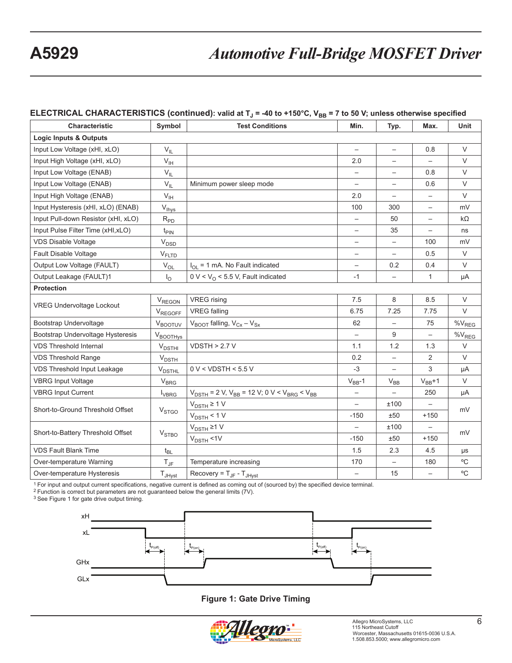## **ELECTRICAL CHARACTERISTICS (continued): valid at T<sub>J</sub> = -40 to +150°C, V<sub>BB</sub> = 7 to 50 V; unless otherwise specified**

| <b>Characteristic</b>               | Symbol                                  | <b>Test Conditions</b>                                                                    | Min.                     | Typ.                     | Max.                     | Unit               |
|-------------------------------------|-----------------------------------------|-------------------------------------------------------------------------------------------|--------------------------|--------------------------|--------------------------|--------------------|
| <b>Logic Inputs &amp; Outputs</b>   |                                         |                                                                                           |                          |                          |                          |                    |
| Input Low Voltage (xHI, xLO)        | $V_{IL}$                                |                                                                                           | $\qquad \qquad -$        | $\qquad \qquad -$        | 0.8                      | V                  |
| Input High Voltage (xHI, xLO)       | $V_{\text{IH}}$                         |                                                                                           | 2.0                      | $\overline{\phantom{0}}$ | $\overline{\phantom{0}}$ | $\vee$             |
| Input Low Voltage (ENAB)            | $V_{IL}$                                |                                                                                           |                          | $\overline{\phantom{0}}$ | 0.8                      | V                  |
| Input Low Voltage (ENAB)            | $V_{IL}$                                | Minimum power sleep mode                                                                  |                          | $\qquad \qquad -$        | 0.6                      | $\vee$             |
| Input High Voltage (ENAB)           | V <sub>IH</sub>                         |                                                                                           | 2.0                      |                          |                          | V                  |
| Input Hysteresis (xHI, xLO) (ENAB)  | $V_{\text{Ihys}}$                       |                                                                                           | 100                      | 300                      | $\qquad \qquad -$        | mV                 |
| Input Pull-down Resistor (xHI, xLO) | $R_{PD}$                                |                                                                                           | $\overline{\phantom{0}}$ | 50                       | $\overline{\phantom{0}}$ | $k\Omega$          |
| Input Pulse Filter Time (xHI,xLO)   | $t_{\text{PIN}}$                        |                                                                                           | $\overline{\phantom{0}}$ | 35                       | $\overline{\phantom{0}}$ | ns                 |
| <b>VDS Disable Voltage</b>          | $\rm V_{\rm DSD}$                       |                                                                                           |                          | $\overline{\phantom{0}}$ | 100                      | mV                 |
| Fault Disable Voltage               | $V_{FLTD}$                              |                                                                                           |                          |                          | 0.5                      | V                  |
| Output Low Voltage (FAULT)          | $V_{OL}$                                | $I_{OL}$ = 1 mA. No Fault indicated                                                       | $\qquad \qquad -$        | 0.2                      | 0.4                      | V                  |
| Output Leakage (FAULT)1             | $I_{\odot}$                             | $0 \text{ V} < V_0$ < 5.5 V, Fault indicated                                              | $-1$                     | $\overline{\phantom{0}}$ | 1                        | μA                 |
| <b>Protection</b>                   |                                         |                                                                                           |                          |                          |                          |                    |
| <b>VREG Undervoltage Lockout</b>    | $V_{\text{REGON}}$                      | <b>VREG</b> rising                                                                        | 7.5                      | 8                        | 8.5                      | $\vee$             |
|                                     | $V_{REGOFF}$                            | <b>VREG</b> falling                                                                       | 6.75                     | 7.25                     | 7.75                     | $\vee$             |
| Bootstrap Undervoltage              | $V_{\text{BOOTUV}}$                     | $V_{\text{BOOT}}$ falling, $V_{\text{Cx}} - V_{\text{Sx}}$                                | 62                       | $\overline{\phantom{0}}$ | 75                       | $\%V_{REG}$        |
| Bootstrap Undervoltage Hysteresis   | $V_{\text{BOO}\underline{\text{THys}}}$ |                                                                                           | $\overline{\phantom{0}}$ | 9                        | $\overline{\phantom{0}}$ | $\%V_{\text{REG}}$ |
| <b>VDS Threshold Internal</b>       | $V_{\text{DSTHI}}$                      | VDSTH > 2.7 V                                                                             | 1.1                      | 1.2                      | 1.3                      | $\vee$             |
| <b>VDS Threshold Range</b>          | $V_{\text{DSTH}}$                       |                                                                                           | 0.2                      | —                        | $\overline{2}$           | V                  |
| VDS Threshold Input Leakage         | $V_{\text{DSTHL}}$                      | $0 V <$ VDSTH < 5.5 V                                                                     | $-3$                     |                          | 3                        | μA                 |
| <b>VBRG Input Voltage</b>           | $V_{BRG}$                               |                                                                                           | $V_{BB}$ -1              | $V_{BB}$                 | $V_{BB}+1$               | V                  |
| <b>VBRG Input Current</b>           | <b>I</b> <sub>VBRG</sub>                | $V_{\text{DSTH}}$ = 2 V, $V_{\text{BB}}$ = 12 V; 0 V < $V_{\text{BRG}}$ < $V_{\text{BB}}$ | $\overline{\phantom{0}}$ |                          | 250                      | μA                 |
| Short-to-Ground Threshold Offset    |                                         | $V_{DSTH} \ge 1 V$                                                                        | $\overline{\phantom{0}}$ | ±100                     |                          | mV                 |
|                                     | <b>V</b> <sub>STGO</sub>                | $V_{\text{DSTH}}$ < 1 V                                                                   | $-150$                   | ±50                      | $+150$                   |                    |
| Short-to-Battery Threshold Offset   |                                         | $V_{DSTH} \ge 1 V$                                                                        |                          | ±100                     |                          |                    |
|                                     | V <sub>STBO</sub>                       | $V_{\text{DSTH}}$ <1V                                                                     | $-150$                   | ±50                      | $+150$                   | mV                 |
| <b>VDS Fault Blank Time</b>         | $t_{BL}$                                |                                                                                           | 1.5                      | 2.3                      | 4.5                      | μs                 |
| Over-temperature Warning            | $T_{\text{JF}}$                         | Temperature increasing                                                                    | 170                      | $\overline{\phantom{0}}$ | 180                      | $\rm ^{o}C$        |
| Over-temperature Hysteresis         | $T_{JHyst}$                             | Recovery = $T_{\text{JF}}$ - $T_{\text{JHVst}}$                                           | $\overline{\phantom{0}}$ | 15                       | $\qquad \qquad -$        | $^{\circ}$ C       |

1 For input and output current specifications, negative current is defined as coming out of (sourced by) the specified device terminal.

2 Function is correct but parameters are not guaranteed below the general limits (7V).

3 See Figure 1 for gate drive output timing.



#### **Figure 1: Gate Drive Timing**

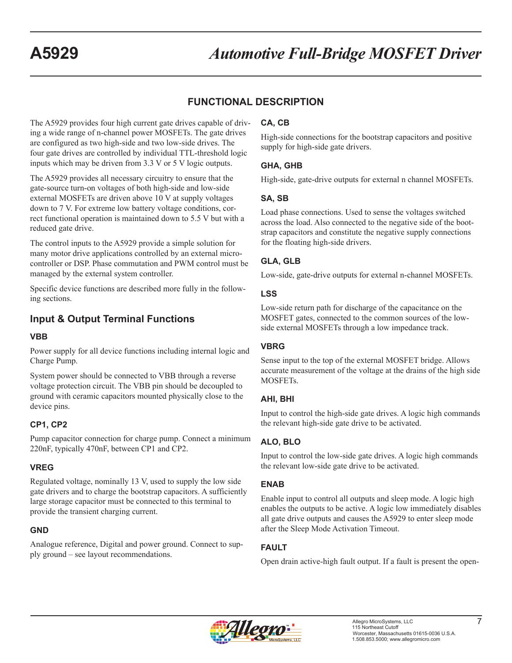# **FUNCTIONAL DESCRIPTION**

The A5929 provides four high current gate drives capable of driving a wide range of n-channel power MOSFETs. The gate drives are configured as two high-side and two low-side drives. The four gate drives are controlled by individual TTL-threshold logic inputs which may be driven from 3.3 V or 5 V logic outputs.

The A5929 provides all necessary circuitry to ensure that the gate-source turn-on voltages of both high-side and low-side external MOSFETs are driven above 10 V at supply voltages down to 7 V. For extreme low battery voltage conditions, correct functional operation is maintained down to 5.5 V but with a reduced gate drive.

The control inputs to the A5929 provide a simple solution for many motor drive applications controlled by an external microcontroller or DSP. Phase commutation and PWM control must be managed by the external system controller.

Specific device functions are described more fully in the following sections.

# **Input & Output Terminal Functions**

#### **VBB**

Power supply for all device functions including internal logic and Charge Pump.

System power should be connected to VBB through a reverse voltage protection circuit. The VBB pin should be decoupled to ground with ceramic capacitors mounted physically close to the device pins.

#### **CP1, CP2**

Pump capacitor connection for charge pump. Connect a minimum 220nF, typically 470nF, between CP1 and CP2.

### **VREG**

Regulated voltage, nominally 13 V, used to supply the low side gate drivers and to charge the bootstrap capacitors. A sufficiently large storage capacitor must be connected to this terminal to provide the transient charging current.

#### **GND**

Analogue reference, Digital and power ground. Connect to supply ground – see layout recommendations.

### **CA, CB**

High-side connections for the bootstrap capacitors and positive supply for high-side gate drivers.

#### **GHA, GHB**

High-side, gate-drive outputs for external n channel MOSFETs.

### **SA, SB**

Load phase connections. Used to sense the voltages switched across the load. Also connected to the negative side of the bootstrap capacitors and constitute the negative supply connections for the floating high-side drivers.

### **GLA, GLB**

Low-side, gate-drive outputs for external n-channel MOSFETs.

#### **LSS**

Low-side return path for discharge of the capacitance on the MOSFET gates, connected to the common sources of the lowside external MOSFETs through a low impedance track.

#### **VBRG**

Sense input to the top of the external MOSFET bridge. Allows accurate measurement of the voltage at the drains of the high side MOSFETs.

### **AHI, BHI**

Input to control the high-side gate drives. A logic high commands the relevant high-side gate drive to be activated.

### **ALO, BLO**

Input to control the low-side gate drives. A logic high commands the relevant low-side gate drive to be activated.

### **ENAB**

Enable input to control all outputs and sleep mode. A logic high enables the outputs to be active. A logic low immediately disables all gate drive outputs and causes the A5929 to enter sleep mode after the Sleep Mode Activation Timeout.

## **FAULT**

Open drain active-high fault output. If a fault is present the open-

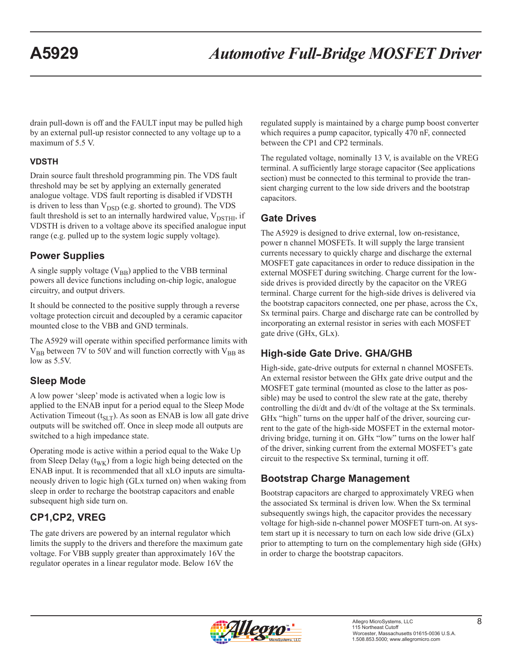drain pull-down is off and the FAULT input may be pulled high by an external pull-up resistor connected to any voltage up to a maximum of 5.5 V.

## **VDSTH**

Drain source fault threshold programming pin. The VDS fault threshold may be set by applying an externally generated analogue voltage. VDS fault reporting is disabled if VDSTH is driven to less than  $V_{\text{DSD}}$  (e.g. shorted to ground). The VDS fault threshold is set to an internally hardwired value,  $V_{\text{DSTHI}}$ , if VDSTH is driven to a voltage above its specified analogue input range (e.g. pulled up to the system logic supply voltage).

# **Power Supplies**

A single supply voltage  $(V_{BB})$  applied to the VBB terminal powers all device functions including on-chip logic, analogue circuitry, and output drivers.

It should be connected to the positive supply through a reverse voltage protection circuit and decoupled by a ceramic capacitor mounted close to the VBB and GND terminals.

The A5929 will operate within specified performance limits with  $V_{BB}$  between 7V to 50V and will function correctly with  $V_{BB}$  as low as 5.5V.

# **Sleep Mode**

A low power 'sleep' mode is activated when a logic low is applied to the ENAB input for a period equal to the Sleep Mode Activation Timeout  $(t_{SLT})$ . As soon as ENAB is low all gate drive outputs will be switched off. Once in sleep mode all outputs are switched to a high impedance state.

Operating mode is active within a period equal to the Wake Up from Sleep Delay  $(t_{\text{WK}})$  from a logic high being detected on the ENAB input. It is recommended that all xLO inputs are simultaneously driven to logic high (GLx turned on) when waking from sleep in order to recharge the bootstrap capacitors and enable subsequent high side turn on.

# **CP1,CP2, VREG**

The gate drivers are powered by an internal regulator which limits the supply to the drivers and therefore the maximum gate voltage. For VBB supply greater than approximately 16V the regulator operates in a linear regulator mode. Below 16V the

regulated supply is maintained by a charge pump boost converter which requires a pump capacitor, typically 470 nF, connected between the CP1 and CP2 terminals.

The regulated voltage, nominally 13 V, is available on the VREG terminal. A sufficiently large storage capacitor (See applications section) must be connected to this terminal to provide the transient charging current to the low side drivers and the bootstrap capacitors.

# **Gate Drives**

The A5929 is designed to drive external, low on-resistance, power n channel MOSFETs. It will supply the large transient currents necessary to quickly charge and discharge the external MOSFET gate capacitances in order to reduce dissipation in the external MOSFET during switching. Charge current for the lowside drives is provided directly by the capacitor on the VREG terminal. Charge current for the high-side drives is delivered via the bootstrap capacitors connected, one per phase, across the Cx, Sx terminal pairs. Charge and discharge rate can be controlled by incorporating an external resistor in series with each MOSFET gate drive (GHx, GLx).

# **High-side Gate Drive. GHA/GHB**

High-side, gate-drive outputs for external n channel MOSFETs. An external resistor between the GHx gate drive output and the MOSFET gate terminal (mounted as close to the latter as possible) may be used to control the slew rate at the gate, thereby controlling the di/dt and dv/dt of the voltage at the Sx terminals. GHx "high" turns on the upper half of the driver, sourcing current to the gate of the high-side MOSFET in the external motordriving bridge, turning it on. GHx "low" turns on the lower half of the driver, sinking current from the external MOSFET's gate circuit to the respective Sx terminal, turning it off.

# **Bootstrap Charge Management**

Bootstrap capacitors are charged to approximately VREG when the associated Sx terminal is driven low. When the Sx terminal subsequently swings high, the capacitor provides the necessary voltage for high-side n-channel power MOSFET turn-on. At system start up it is necessary to turn on each low side drive (GLx) prior to attempting to turn on the complementary high side (GHx) in order to charge the bootstrap capacitors.

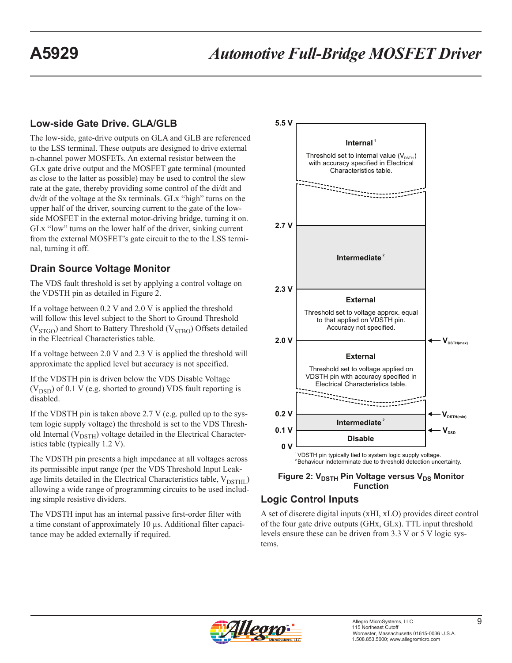# **Low-side Gate Drive. GLA/GLB**

The low-side, gate-drive outputs on GLA and GLB are referenced to the LSS terminal. These outputs are designed to drive external n-channel power MOSFETs. An external resistor between the GLx gate drive output and the MOSFET gate terminal (mounted as close to the latter as possible) may be used to control the slew rate at the gate, thereby providing some control of the di/dt and dv/dt of the voltage at the Sx terminals. GLx "high" turns on the upper half of the driver, sourcing current to the gate of the lowside MOSFET in the external motor-driving bridge, turning it on. GLx "low" turns on the lower half of the driver, sinking current from the external MOSFET's gate circuit to the to the LSS terminal, turning it off.

# **Drain Source Voltage Monitor**

The VDS fault threshold is set by applying a control voltage on the VDSTH pin as detailed in Figure 2.

If a voltage between 0.2 V and 2.0 V is applied the threshold will follow this level subject to the Short to Ground Threshold  $(V_{STGO})$  and Short to Battery Threshold  $(V_{STBO})$  Offsets detailed in the Electrical Characteristics table.

If a voltage between 2.0 V and 2.3 V is applied the threshold will approximate the applied level but accuracy is not specified.

If the VDSTH pin is driven below the VDS Disable Voltage  $(V_{\text{DSD}})$  of 0.1 V (e.g. shorted to ground) VDS fault reporting is disabled.

If the VDSTH pin is taken above 2.7 V (e.g. pulled up to the system logic supply voltage) the threshold is set to the VDS Threshold Internal ( $V_{DSTH}$ ) voltage detailed in the Electrical Characteristics table (typically 1.2 V).

The VDSTH pin presents a high impedance at all voltages across its permissible input range (per the VDS Threshold Input Leakage limits detailed in the Electrical Characteristics table,  $V_{\text{DSTHI}}$ ) allowing a wide range of programming circuits to be used including simple resistive dividers.

The VDSTH input has an internal passive first-order filter with a time constant of approximately 10 µs. Additional filter capacitance may be added externally if required.



**Figure 2: V<sub>DSTH</sub> Pin Voltage versus V<sub>DS</sub> Monitor Function**

# **Logic Control Inputs**

A set of discrete digital inputs (xHI, xLO) provides direct control of the four gate drive outputs (GHx, GLx). TTL input threshold levels ensure these can be driven from 3.3 V or 5 V logic systems.

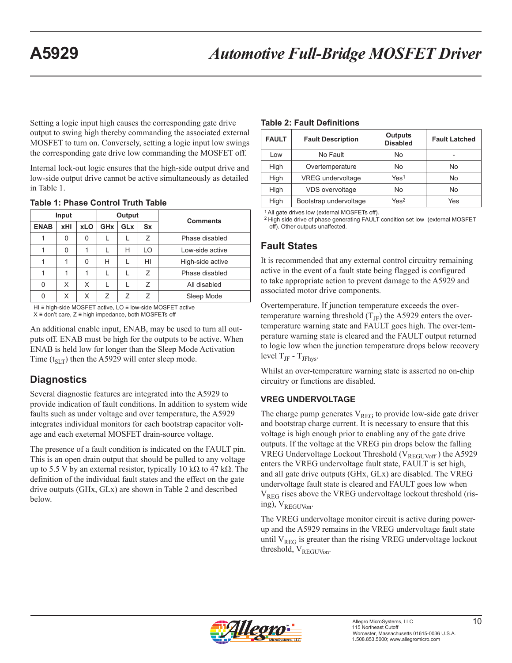Setting a logic input high causes the corresponding gate drive output to swing high thereby commanding the associated external MOSFET to turn on. Conversely, setting a logic input low swings the corresponding gate drive low commanding the MOSFET off.

Internal lock-out logic ensures that the high-side output drive and low-side output drive cannot be active simultaneously as detailed in Table 1.

| Input       |     |            | Output                |            |           |                  |  |
|-------------|-----|------------|-----------------------|------------|-----------|------------------|--|
| <b>ENAB</b> | xHI | <b>xLO</b> | <b>GH<sub>x</sub></b> | <b>GLx</b> | <b>Sx</b> | <b>Comments</b>  |  |
|             | 0   | 0          |                       |            | Ζ         | Phase disabled   |  |
|             | 0   |            |                       | н          | LO        | Low-side active  |  |
|             | 1   | 0          | н                     |            | HI        | High-side active |  |
|             | 1   | 1          |                       |            | Ζ         | Phase disabled   |  |
| 0           | X   | X          |                       |            | Ζ         | All disabled     |  |
| 0           | Χ   | Χ          | 7                     | 7          | 7         | Sleep Mode       |  |

#### **Table 1: Phase Control Truth Table**

HI ≡ high-side MOSFET active, LO ≡ low-side MOSFET active X ≡ don't care, Z ≡ high impedance, both MOSFETs off

An additional enable input, ENAB, may be used to turn all outputs off. ENAB must be high for the outputs to be active. When ENAB is held low for longer than the Sleep Mode Activation Time ( $t_{SLT}$ ) then the A5929 will enter sleep mode.

# **Diagnostics**

Several diagnostic features are integrated into the A5929 to provide indication of fault conditions. In addition to system wide faults such as under voltage and over temperature, the A5929 integrates individual monitors for each bootstrap capacitor voltage and each exeternal MOSFET drain-source voltage.

The presence of a fault condition is indicated on the FAULT pin. This is an open drain output that should be pulled to any voltage up to 5.5 V by an external resistor, typically 10 kΩ to 47 kΩ. The definition of the individual fault states and the effect on the gate drive outputs (GHx, GLx) are shown in Table 2 and described below.

#### **Table 2: Fault Definitions**

| <b>FAULT</b> | <b>Fault Description</b> | <b>Outputs</b><br><b>Disabled</b> | <b>Fault Latched</b> |
|--------------|--------------------------|-----------------------------------|----------------------|
| Low          | No Fault                 | No                                |                      |
| High         | Overtemperature          | <b>No</b>                         | No                   |
| High         | <b>VREG</b> undervoltage | Yes <sup>1</sup>                  | <b>No</b>            |
| High         | <b>VDS</b> overvoltage   | <b>No</b>                         | No                   |
| High         | Bootstrap undervoltage   | Yes <sup>2</sup>                  | Yes                  |

1 All gate drives low (external MOSFETs off).

2 High side drive of phase generating FAULT condition set low (external MOSFET off). Other outputs unaffected.

## **Fault States**

It is recommended that any external control circuitry remaining active in the event of a fault state being flagged is configured to take appropriate action to prevent damage to the A5929 and associated motor drive components.

Overtemperature. If junction temperature exceeds the overtemperature warning threshold  $(T_{\text{IF}})$  the A5929 enters the overtemperature warning state and FAULT goes high. The over-temperature warning state is cleared and the FAULT output returned to logic low when the junction temperature drops below recovery level  $T_{\text{JF}}$  -  $T_{\text{JFhys}}$ .

Whilst an over-temperature warning state is asserted no on-chip circuitry or functions are disabled.

## **VREG UNDERVOLTAGE**

The charge pump generates  $V_{REG}$  to provide low-side gate driver and bootstrap charge current. It is necessary to ensure that this voltage is high enough prior to enabling any of the gate drive outputs. If the voltage at the VREG pin drops below the falling VREG Undervoltage Lockout Threshold (VREGUVoff) the A5929 enters the VREG undervoltage fault state, FAULT is set high, and all gate drive outputs (GHx, GLx) are disabled. The VREG undervoltage fault state is cleared and FAULT goes low when V<sub>REG</sub> rises above the VREG undervoltage lockout threshold (rising), V<sub>REGUVon</sub>.

The VREG undervoltage monitor circuit is active during powerup and the A5929 remains in the VREG undervoltage fault state until  $V_{REG}$  is greater than the rising VREG undervoltage lockout threshold, V<sub>REGUVon</sub>.

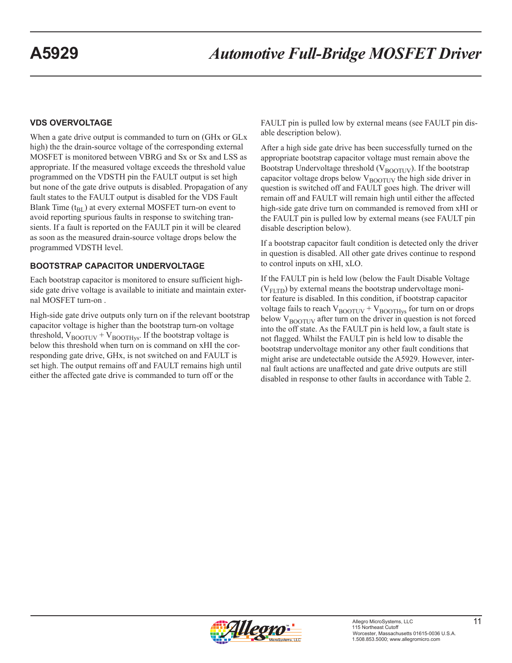#### **VDS OVERVOLTAGE**

When a gate drive output is commanded to turn on (GHx or GLx high) the the drain-source voltage of the corresponding external MOSFET is monitored between VBRG and Sx or Sx and LSS as appropriate. If the measured voltage exceeds the threshold value programmed on the VDSTH pin the FAULT output is set high but none of the gate drive outputs is disabled. Propagation of any fault states to the FAULT output is disabled for the VDS Fault Blank Time  $(t_{BL})$  at every external MOSFET turn-on event to avoid reporting spurious faults in response to switching transients. If a fault is reported on the FAULT pin it will be cleared as soon as the measured drain-source voltage drops below the programmed VDSTH level.

#### **BOOTSTRAP CAPACITOR UNDERVOLTAGE**

Each bootstrap capacitor is monitored to ensure sufficient highside gate drive voltage is available to initiate and maintain external MOSFET turn-on .

High-side gate drive outputs only turn on if the relevant bootstrap capacitor voltage is higher than the bootstrap turn-on voltage threshold,  $V_{\text{BOOTUV}} + V_{\text{BOOTHvs}}$ . If the bootstrap voltage is below this threshold when turn on is command on xHI the corresponding gate drive, GHx, is not switched on and FAULT is set high. The output remains off and FAULT remains high until either the affected gate drive is commanded to turn off or the

FAULT pin is pulled low by external means (see FAULT pin disable description below).

After a high side gate drive has been successfully turned on the appropriate bootstrap capacitor voltage must remain above the Bootstrap Undervoltage threshold ( $V_{\text{BOOTUV}}$ ). If the bootstrap capacitor voltage drops below  $V_{\text{ROTUV}}$  the high side driver in question is switched off and FAULT goes high. The driver will remain off and FAULT will remain high until either the affected high-side gate drive turn on commanded is removed from xHI or the FAULT pin is pulled low by external means (see FAULT pin disable description below).

If a bootstrap capacitor fault condition is detected only the driver in question is disabled. All other gate drives continue to respond to control inputs on xHI, xLO.

If the FAULT pin is held low (below the Fault Disable Voltage  $(V_{\text{FITD}})$  by external means the bootstrap undervoltage monitor feature is disabled. In this condition, if bootstrap capacitor voltage fails to reach  $\rm V_{BOOTUV}$  +  $\rm V_{BOOTHys}$  for turn on or drops below  $V_{\text{BNOTIV}}$  after turn on the driver in question is not forced into the off state. As the FAULT pin is held low, a fault state is not flagged. Whilst the FAULT pin is held low to disable the bootstrap undervoltage monitor any other fault conditions that might arise are undetectable outside the A5929. However, internal fault actions are unaffected and gate drive outputs are still disabled in response to other faults in accordance with Table 2.

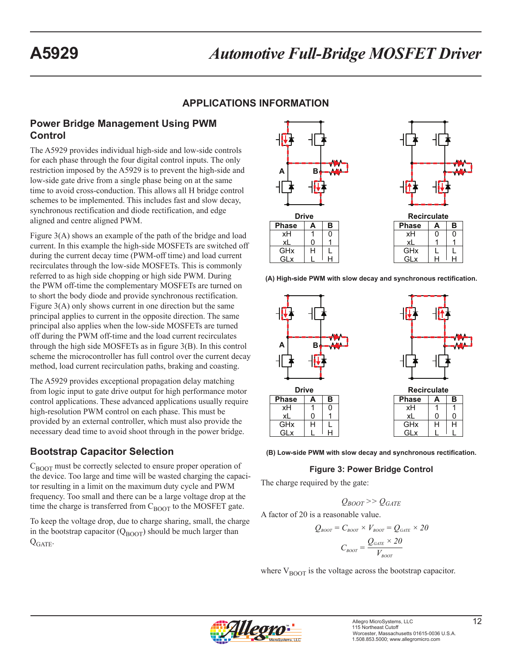# **APPLICATIONS INFORMATION**

# **Power Bridge Management Using PWM Control**

The A5929 provides individual high-side and low-side controls for each phase through the four digital control inputs. The only restriction imposed by the A5929 is to prevent the high-side and low-side gate drive from a single phase being on at the same time to avoid cross-conduction. This allows all H bridge control schemes to be implemented. This includes fast and slow decay, synchronous rectification and diode rectification, and edge aligned and centre aligned PWM.

Figure 3(A) shows an example of the path of the bridge and load current. In this example the high-side MOSFETs are switched off during the current decay time (PWM-off time) and load current recirculates through the low-side MOSFETs. This is commonly referred to as high side chopping or high side PWM. During the PWM off-time the complementary MOSFETs are turned on to short the body diode and provide synchronous rectification. Figure 3(A) only shows current in one direction but the same principal applies to current in the opposite direction. The same principal also applies when the low-side MOSFETs are turned off during the PWM off-time and the load current recirculates through the high side MOSFETs as in figure 3(B). In this control scheme the microcontroller has full control over the current decay method, load current recirculation paths, braking and coasting.

The A5929 provides exceptional propagation delay matching from logic input to gate drive output for high performance motor control applications. These advanced applications usually require high-resolution PWM control on each phase. This must be provided by an external controller, which must also provide the necessary dead time to avoid shoot through in the power bridge.

# **Bootstrap Capacitor Selection**

 $C_{\text{BOOT}}$  must be correctly selected to ensure proper operation of the device. Too large and time will be wasted charging the capacitor resulting in a limit on the maximum duty cycle and PWM frequency. Too small and there can be a large voltage drop at the time the charge is transferred from  $C_{\text{BOOT}}$  to the MOSFET gate.

To keep the voltage drop, due to charge sharing, small, the charge in the bootstrap capacitor  $(Q_{\text{BOOT}})$  should be much larger than  $Q_{GATE}$ .



**(A) High-side PWM with slow decay and synchronous rectification.**



**(B) Low-side PWM with slow decay and synchronous rectification.**

#### **Figure 3: Power Bridge Control**

The charge required by the gate:

$$
Q_{\text{BOOT}} >> Q_{\text{GATE}}
$$

A factor of 20 is a reasonable value.

$$
Q_{\text{Boor}} = C_{\text{Boor}} \times V_{\text{Boor}} = Q_{\text{GATE}} \times 20
$$

$$
C_{\text{Boor}} = \frac{Q_{\text{GATE}} \times 20}{V_{\text{Boor}}}
$$

where  $V_{\text{ROT}}$  is the voltage across the bootstrap capacitor.

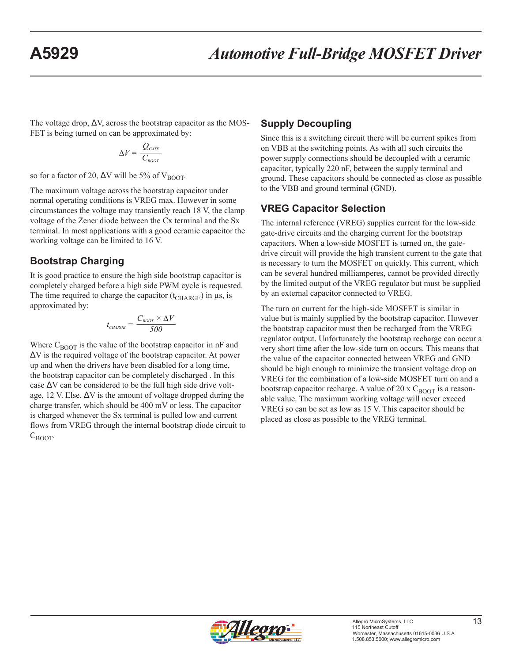The voltage drop,  $\Delta V$ , across the bootstrap capacitor as the MOS-FET is being turned on can be approximated by:

$$
\Delta V = \frac{Q_{\text{GATE}}}{C_{\text{BoOT}}}
$$

so for a factor of 20,  $\Delta V$  will be 5% of V<sub>BOOT</sub>.

The maximum voltage across the bootstrap capacitor under normal operating conditions is VREG max. However in some circumstances the voltage may transiently reach 18 V, the clamp voltage of the Zener diode between the Cx terminal and the Sx terminal. In most applications with a good ceramic capacitor the working voltage can be limited to 16 V.

# **Bootstrap Charging**

It is good practice to ensure the high side bootstrap capacitor is completely charged before a high side PWM cycle is requested. The time required to charge the capacitor  $(t_{\text{CHARGE}})$  in  $\mu$ s, is approximated by:

$$
t_{\text{CHARGE}} = \frac{C_{\text{foot}} \times \Delta V}{500}
$$

Where  $C_{\text{BOOT}}$  is the value of the bootstrap capacitor in nF and ΔV is the required voltage of the bootstrap capacitor. At power up and when the drivers have been disabled for a long time, the bootstrap capacitor can be completely discharged . In this case  $\Delta V$  can be considered to be the full high side drive voltage, 12 V. Else,  $\Delta V$  is the amount of voltage dropped during the charge transfer, which should be 400 mV or less. The capacitor is charged whenever the Sx terminal is pulled low and current flows from VREG through the internal bootstrap diode circuit to  $C_{\text{BOOT}}$ .

# **Supply Decoupling**

Since this is a switching circuit there will be current spikes from on VBB at the switching points. As with all such circuits the power supply connections should be decoupled with a ceramic capacitor, typically 220 nF, between the supply terminal and ground. These capacitors should be connected as close as possible to the VBB and ground terminal (GND).

# **VREG Capacitor Selection**

The internal reference (VREG) supplies current for the low-side gate-drive circuits and the charging current for the bootstrap capacitors. When a low-side MOSFET is turned on, the gatedrive circuit will provide the high transient current to the gate that is necessary to turn the MOSFET on quickly. This current, which can be several hundred milliamperes, cannot be provided directly by the limited output of the VREG regulator but must be supplied by an external capacitor connected to VREG.

The turn on current for the high-side MOSFET is similar in value but is mainly supplied by the bootstrap capacitor. However the bootstrap capacitor must then be recharged from the VREG regulator output. Unfortunately the bootstrap recharge can occur a very short time after the low-side turn on occurs. This means that the value of the capacitor connected between VREG and GND should be high enough to minimize the transient voltage drop on VREG for the combination of a low-side MOSFET turn on and a bootstrap capacitor recharge. A value of 20 x  $C_{\text{BOOT}}$  is a reasonable value. The maximum working voltage will never exceed VREG so can be set as low as 15 V. This capacitor should be placed as close as possible to the VREG terminal.

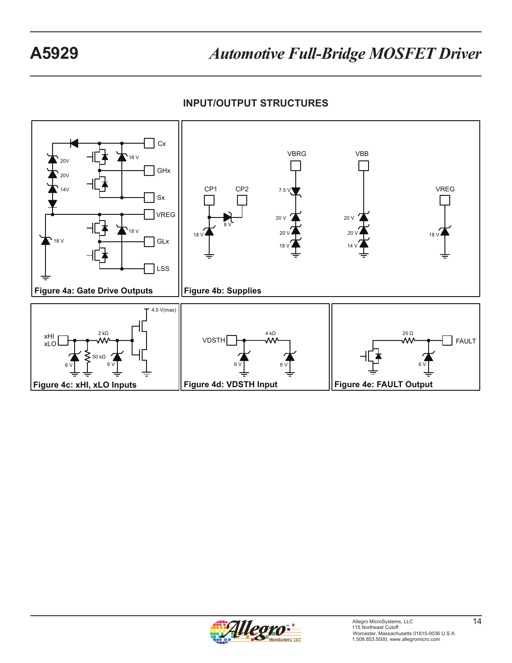**INPUT/OUTPUT STRUCTURES**



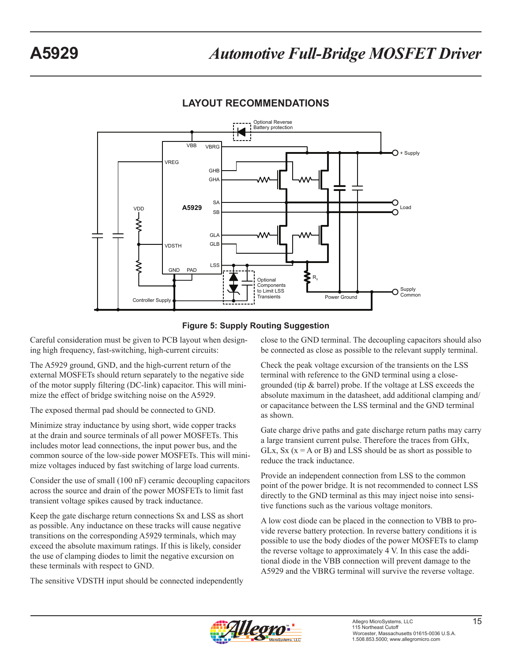# **LAYOUT RECOMMENDATIONS**





Careful consideration must be given to PCB layout when designing high frequency, fast-switching, high-current circuits:

The A5929 ground, GND, and the high-current return of the external MOSFETs should return separately to the negative side of the motor supply filtering (DC-link) capacitor. This will minimize the effect of bridge switching noise on the A5929.

The exposed thermal pad should be connected to GND.

Minimize stray inductance by using short, wide copper tracks at the drain and source terminals of all power MOSFETs. This includes motor lead connections, the input power bus, and the common source of the low-side power MOSFETs. This will minimize voltages induced by fast switching of large load currents.

Consider the use of small (100 nF) ceramic decoupling capacitors across the source and drain of the power MOSFETs to limit fast transient voltage spikes caused by track inductance.

Keep the gate discharge return connections Sx and LSS as short as possible. Any inductance on these tracks will cause negative transitions on the corresponding A5929 terminals, which may exceed the absolute maximum ratings. If this is likely, consider the use of clamping diodes to limit the negative excursion on these terminals with respect to GND.

The sensitive VDSTH input should be connected independently

close to the GND terminal. The decoupling capacitors should also be connected as close as possible to the relevant supply terminal.

Check the peak voltage excursion of the transients on the LSS terminal with reference to the GND terminal using a closegrounded (tip & barrel) probe. If the voltage at LSS exceeds the absolute maximum in the datasheet, add additional clamping and/ or capacitance between the LSS terminal and the GND terminal as shown.

Gate charge drive paths and gate discharge return paths may carry a large transient current pulse. Therefore the traces from GHx, GLx,  $S_x$  ( $x = A$  or B) and LSS should be as short as possible to reduce the track inductance.

Provide an independent connection from LSS to the common point of the power bridge. It is not recommended to connect LSS directly to the GND terminal as this may inject noise into sensitive functions such as the various voltage monitors.

A low cost diode can be placed in the connection to VBB to provide reverse battery protection. In reverse battery conditions it is possible to use the body diodes of the power MOSFETs to clamp the reverse voltage to approximately 4 V. In this case the additional diode in the VBB connection will prevent damage to the A5929 and the VBRG terminal will survive the reverse voltage.

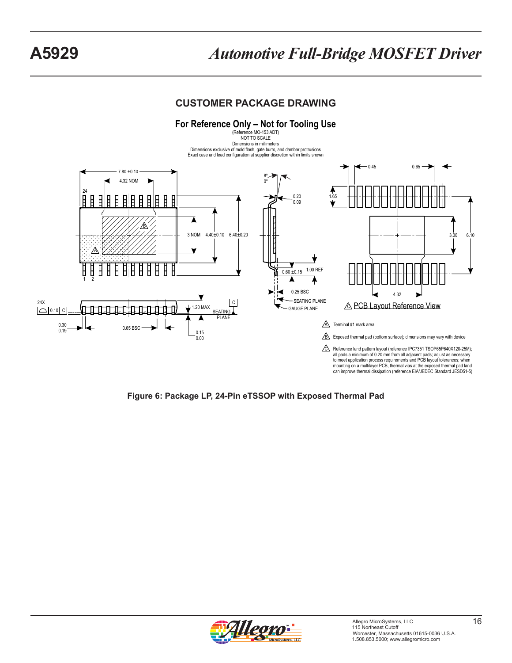# **CUSTOMER PACKAGE DRAWING**



**Figure 6: Package LP, 24-Pin eTSSOP with Exposed Thermal Pad**